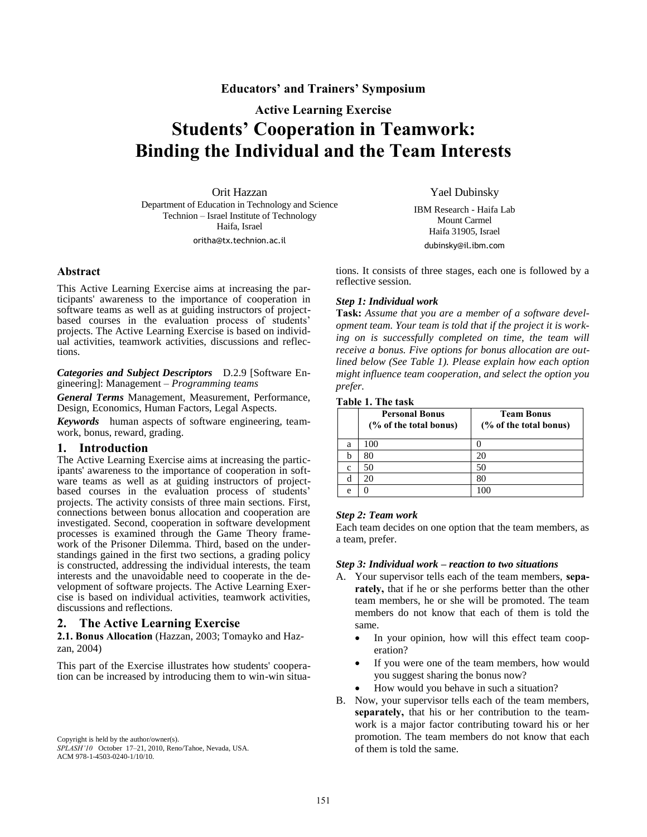# **[Educators' and Trainers' Symposium](http://www.oopsla.org/oopsla2009/cfp/due-march-19-2009/9-ets)**

# **Active Learning Exercise Students' Cooperation in Teamwork: Binding the Individual and the Team Interests**

Orit Hazzan Department of Education in Technology and Science Technion – Israel Institute of Technology Haifa, Israel oritha@tx.technion.ac.il

Yael Dubinsky

IBM Research - Haifa Lab Mount Carmel Haifa 31905, Israel

**Abstract**

This Active Learning Exercise aims at increasing the participants' awareness to the importance of cooperation in software teams as well as at guiding instructors of projectbased courses in the evaluation process of students' projects. The Active Learning Exercise is based on individual activities, teamwork activities, discussions and reflections.

*Categories and Subject Descriptors* D.2.9 [Software Engineering]: Management – *Programming teams*

*General Terms* Management, Measurement, Performance, Design, Economics, Human Factors, Legal Aspects.

*Keywords* human aspects of software engineering, teamwork, bonus, reward, grading.

#### **1. Introduction**

The Active Learning Exercise aims at increasing the participants' awareness to the importance of cooperation in software teams as well as at guiding instructors of projectbased courses in the evaluation process of students' projects. The activity consists of three main sections. First, connections between bonus allocation and cooperation are investigated. Second, cooperation in software development processes is examined through the Game Theory framework of the Prisoner Dilemma. Third, based on the understandings gained in the first two sections, a grading policy is constructed, addressing the individual interests, the team interests and the unavoidable need to cooperate in the development of software projects. The Active Learning Exercise is based on individual activities, teamwork activities, discussions and reflections.

#### **2. The Active Learning Exercise**

**2.1. Bonus Allocation** (Hazzan, 2003; Tomayko and Hazzan, 2004)

This part of the Exercise illustrates how students' cooperation can be increased by introducing them to win-win situa-

Copyright is held by the author/owner(s). *SPLASH'10* October 17–21, 2010, Reno/Tahoe, Nevada, USA. ACM 978-1-4503-0240-1/10/10.

dubinsky@il.ibm.com

tions. It consists of three stages, each one is followed by a reflective session.

# *Step 1: Individual work*

**Task:** *Assume that you are a member of a software development team. Your team is told that if the project it is working on is successfully completed on time, the team will receive a bonus. Five options for bonus allocation are outlined below (See Table 1). Please explain how each option might influence team cooperation, and select the option you prefer.*

#### **Table 1. The task**

|   | <b>Personal Bonus</b><br>(% of the total bonus) | <b>Team Bonus</b><br>(% of the total bonus) |
|---|-------------------------------------------------|---------------------------------------------|
| a | 100                                             |                                             |
| b | 80                                              | 20                                          |
| c | 50                                              | 50                                          |
| d | 20                                              | 80                                          |
| e |                                                 |                                             |

# *Step 2: Team work*

Each team decides on one option that the team members, as a team, prefer.

# *Step 3: Individual work – reaction to two situations*

- A. Your supervisor tells each of the team members, **separately,** that if he or she performs better than the other team members, he or she will be promoted. The team members do not know that each of them is told the same.
	- In your opinion, how will this effect team cooperation?
	- If you were one of the team members, how would you suggest sharing the bonus now?
	- How would you behave in such a situation?
- B. Now, your supervisor tells each of the team members, **separately,** that his or her contribution to the teamwork is a major factor contributing toward his or her promotion. The team members do not know that each of them is told the same.